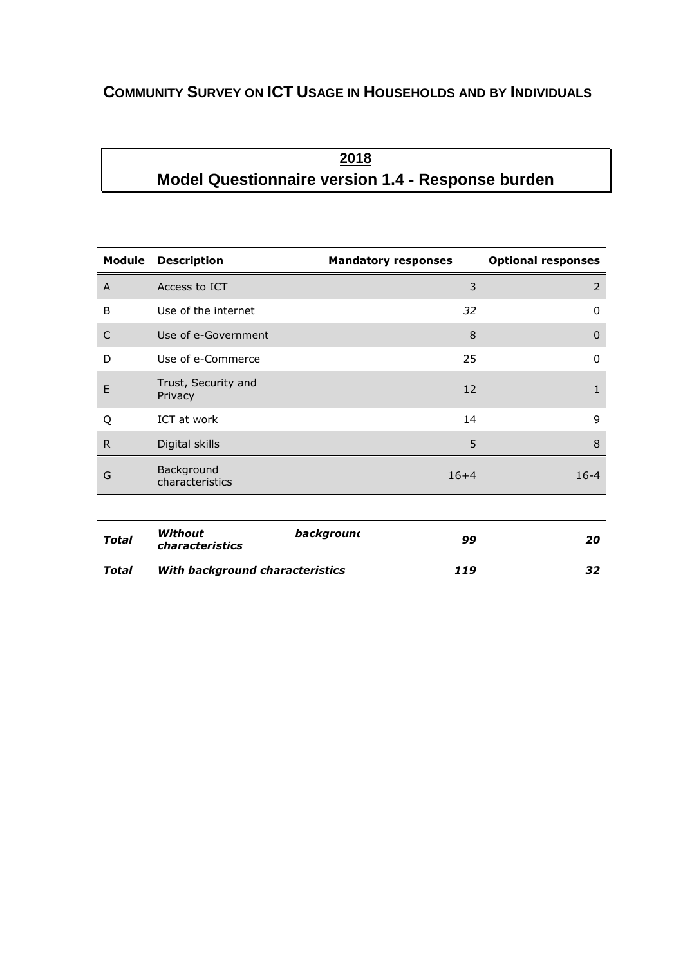## **COMMUNITY SURVEY ON ICT USAGE IN HOUSEHOLDS AND BY INDIVIDUALS**

# **2018 Model Questionnaire version 1.4 - Response burden**

| Module         | <b>Description</b>             | <b>Mandatory responses</b> | <b>Optional responses</b> |
|----------------|--------------------------------|----------------------------|---------------------------|
| $\overline{A}$ | Access to ICT                  | 3                          | 2                         |
| B              | Use of the internet            | 32                         | $\mathbf{0}$              |
| $\mathsf{C}$   | Use of e-Government            | 8                          | $\mathbf{0}$              |
| D              | Use of e-Commerce              | 25                         | $\mathbf{0}$              |
| E              | Trust, Security and<br>Privacy | 12                         | $\mathbf{1}$              |
| Q              | ICT at work                    | 14                         | 9                         |
| R              | Digital skills                 | 5                          | 8                         |
| G              | Background<br>characteristics  | $16 + 4$                   | $16 - 4$                  |
|                |                                |                            |                           |

| <b>Total</b> | Without<br>characteristics      | backgrounc | 99  | 20  |
|--------------|---------------------------------|------------|-----|-----|
| Total        | With background characteristics |            | 119 | 32. |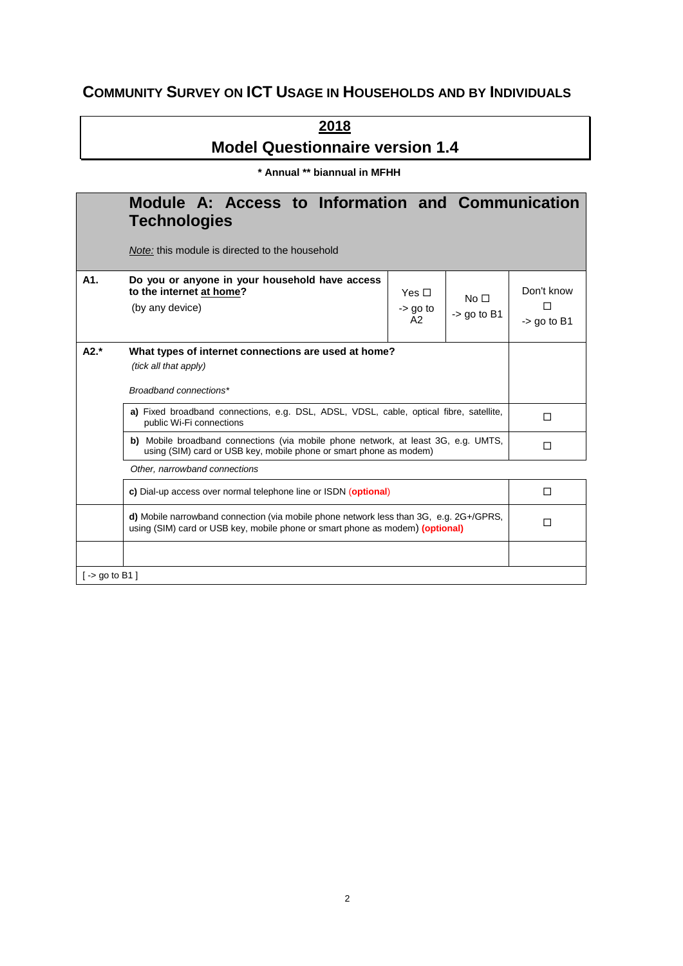## **COMMUNITY SURVEY ON ICT USAGE IN HOUSEHOLDS AND BY INDIVIDUALS**

**2018 Model Questionnaire version 1.4**

**\* Annual \*\* biannual in MFHH**

|                                       | Module A: Access to Information and Communication<br><b>Technologies</b>                                                                                                |                                 |                                      |   |
|---------------------------------------|-------------------------------------------------------------------------------------------------------------------------------------------------------------------------|---------------------------------|--------------------------------------|---|
|                                       | <i>Note:</i> this module is directed to the household                                                                                                                   |                                 |                                      |   |
| A1.                                   | Do you or anyone in your household have access<br>to the internet at home?<br>(by any device)                                                                           | No <sub>1</sub><br>$-$ go to B1 | Don't know<br>$\rightarrow$ go to B1 |   |
| $A2.*$                                | What types of internet connections are used at home?<br>(tick all that apply)<br>Broadband connections*                                                                 |                                 |                                      |   |
|                                       | a) Fixed broadband connections, e.g. DSL, ADSL, VDSL, cable, optical fibre, satellite,<br>public Wi-Fi connections                                                      | П                               |                                      |   |
|                                       | b) Mobile broadband connections (via mobile phone network, at least 3G, e.g. UMTS,<br>using (SIM) card or USB key, mobile phone or smart phone as modem)                | П                               |                                      |   |
|                                       | Other, narrowband connections                                                                                                                                           |                                 |                                      |   |
|                                       | c) Dial-up access over normal telephone line or ISDN (optional)                                                                                                         | П                               |                                      |   |
|                                       | d) Mobile narrowband connection (via mobile phone network less than 3G, e.g. 2G+/GPRS,<br>using (SIM) card or USB key, mobile phone or smart phone as modem) (optional) |                                 |                                      | П |
|                                       |                                                                                                                                                                         |                                 |                                      |   |
| $\mathsf{I}$ -> go to B1 $\mathsf{I}$ |                                                                                                                                                                         |                                 |                                      |   |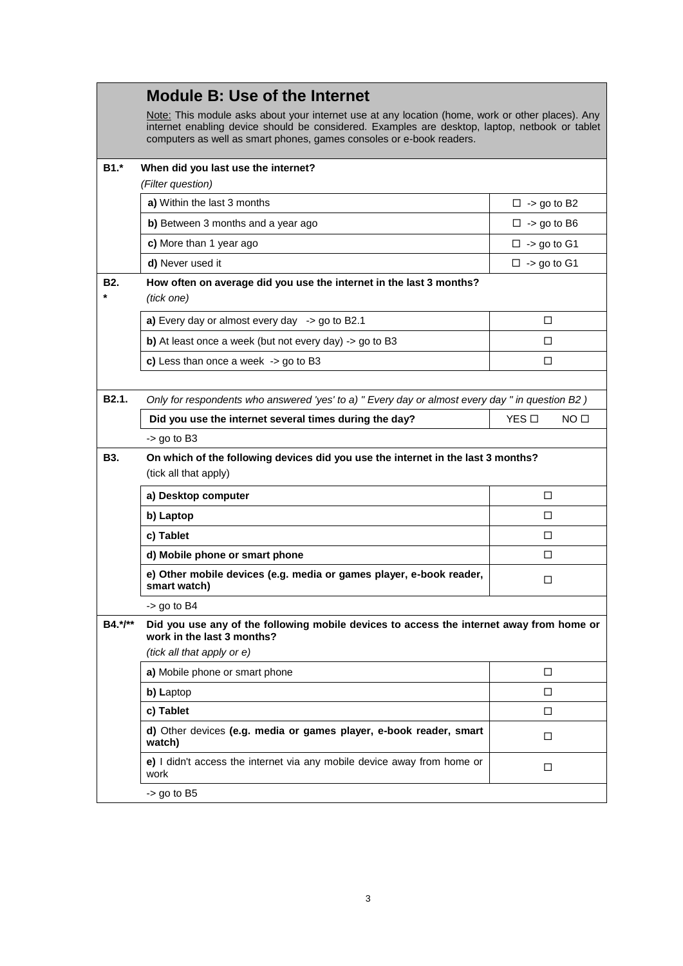|                    | <b>Module B: Use of the Internet</b>                                                                                                                                                                                                                                       |                       |  |  |  |  |
|--------------------|----------------------------------------------------------------------------------------------------------------------------------------------------------------------------------------------------------------------------------------------------------------------------|-----------------------|--|--|--|--|
|                    | Note: This module asks about your internet use at any location (home, work or other places). Any<br>internet enabling device should be considered. Examples are desktop, laptop, netbook or tablet<br>computers as well as smart phones, games consoles or e-book readers. |                       |  |  |  |  |
| $B1.*$             | When did you last use the internet?<br>(Filter question)                                                                                                                                                                                                                   |                       |  |  |  |  |
|                    | a) Within the last 3 months                                                                                                                                                                                                                                                | $\square$ -> go to B2 |  |  |  |  |
|                    | b) Between 3 months and a year ago                                                                                                                                                                                                                                         | $\square$ -> go to B6 |  |  |  |  |
|                    | c) More than 1 year ago                                                                                                                                                                                                                                                    | $\square$ -> go to G1 |  |  |  |  |
|                    | d) Never used it                                                                                                                                                                                                                                                           | $\square$ -> go to G1 |  |  |  |  |
| <b>B2.</b>         | How often on average did you use the internet in the last 3 months?<br>(tick one)                                                                                                                                                                                          |                       |  |  |  |  |
|                    | a) Every day or almost every day $\rightarrow$ go to B2.1                                                                                                                                                                                                                  | □                     |  |  |  |  |
|                    | b) At least once a week (but not every day) -> go to B3                                                                                                                                                                                                                    | П                     |  |  |  |  |
|                    | c) Less than once a week $-$ -> go to B3                                                                                                                                                                                                                                   | □                     |  |  |  |  |
|                    |                                                                                                                                                                                                                                                                            |                       |  |  |  |  |
| B <sub>2.1</sub> . | Only for respondents who answered 'yes' to a) " Every day or almost every day " in question B2)                                                                                                                                                                            |                       |  |  |  |  |
|                    | Did you use the internet several times during the day?                                                                                                                                                                                                                     | YES □<br>NO O         |  |  |  |  |
|                    | $-$ go to B3                                                                                                                                                                                                                                                               |                       |  |  |  |  |
| <b>B3.</b>         | On which of the following devices did you use the internet in the last 3 months?<br>(tick all that apply)                                                                                                                                                                  |                       |  |  |  |  |
|                    | a) Desktop computer                                                                                                                                                                                                                                                        | □                     |  |  |  |  |
|                    | b) Laptop                                                                                                                                                                                                                                                                  | □                     |  |  |  |  |
|                    | c) Tablet                                                                                                                                                                                                                                                                  | □                     |  |  |  |  |
|                    | d) Mobile phone or smart phone                                                                                                                                                                                                                                             | □                     |  |  |  |  |
|                    | e) Other mobile devices (e.g. media or games player, e-book reader,<br>smart watch)                                                                                                                                                                                        | □                     |  |  |  |  |
|                    | $-$ go to B4                                                                                                                                                                                                                                                               |                       |  |  |  |  |
| B4.*/**            | Did you use any of the following mobile devices to access the internet away from home or<br>work in the last 3 months?                                                                                                                                                     |                       |  |  |  |  |
|                    | (tick all that apply or e)                                                                                                                                                                                                                                                 |                       |  |  |  |  |
|                    | a) Mobile phone or smart phone                                                                                                                                                                                                                                             | □                     |  |  |  |  |
|                    | b) Laptop                                                                                                                                                                                                                                                                  | □                     |  |  |  |  |
|                    | c) Tablet                                                                                                                                                                                                                                                                  | □                     |  |  |  |  |
|                    | d) Other devices (e.g. media or games player, e-book reader, smart<br>watch)                                                                                                                                                                                               | □                     |  |  |  |  |
|                    | e) I didn't access the internet via any mobile device away from home or<br>work                                                                                                                                                                                            | □                     |  |  |  |  |
|                    | $-$ go to B5                                                                                                                                                                                                                                                               |                       |  |  |  |  |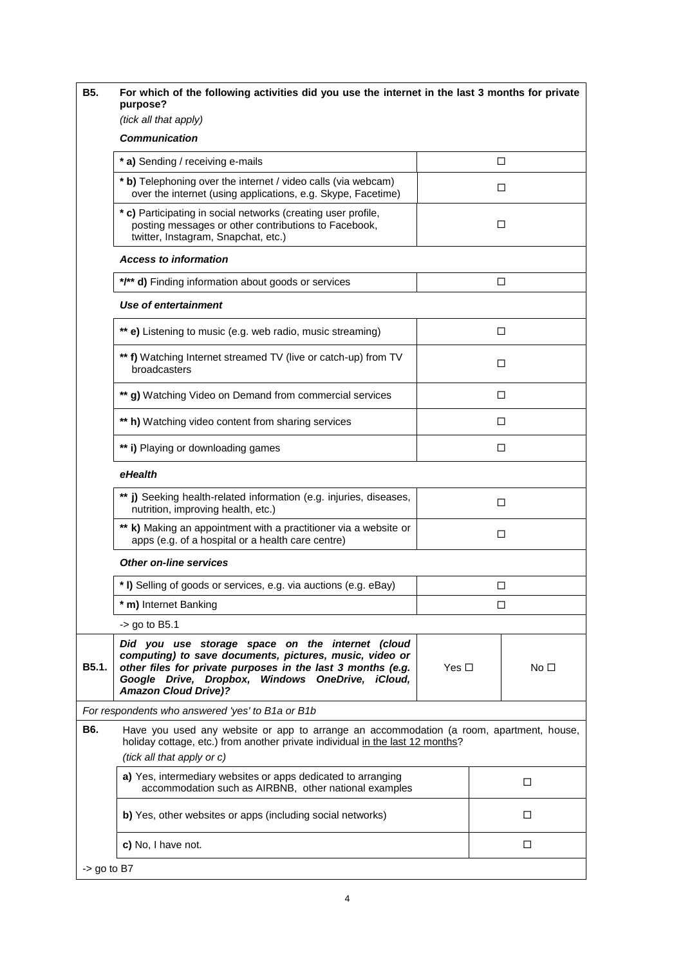| <b>B5.</b><br>For which of the following activities did you use the internet in the last 3 months for private<br>purpose?                                                                                                                                              |               |   |                 |  |  |
|------------------------------------------------------------------------------------------------------------------------------------------------------------------------------------------------------------------------------------------------------------------------|---------------|---|-----------------|--|--|
| (tick all that apply)<br><b>Communication</b>                                                                                                                                                                                                                          |               |   |                 |  |  |
| * a) Sending / receiving e-mails                                                                                                                                                                                                                                       |               | □ |                 |  |  |
| * b) Telephoning over the internet / video calls (via webcam)<br>over the internet (using applications, e.g. Skype, Facetime)                                                                                                                                          |               | ◻ |                 |  |  |
| * c) Participating in social networks (creating user profile,<br>posting messages or other contributions to Facebook,<br>twitter, Instagram, Snapchat, etc.)                                                                                                           |               | □ |                 |  |  |
| <b>Access to information</b>                                                                                                                                                                                                                                           |               |   |                 |  |  |
| */** d) Finding information about goods or services                                                                                                                                                                                                                    |               | □ |                 |  |  |
| Use of entertainment                                                                                                                                                                                                                                                   |               |   |                 |  |  |
| ** e) Listening to music (e.g. web radio, music streaming)                                                                                                                                                                                                             |               | □ |                 |  |  |
| ** f) Watching Internet streamed TV (live or catch-up) from TV<br>broadcasters                                                                                                                                                                                         |               | п |                 |  |  |
| ** g) Watching Video on Demand from commercial services                                                                                                                                                                                                                |               | п |                 |  |  |
| ** h) Watching video content from sharing services                                                                                                                                                                                                                     |               | □ |                 |  |  |
| ** i) Playing or downloading games                                                                                                                                                                                                                                     |               | □ |                 |  |  |
| eHealth                                                                                                                                                                                                                                                                |               |   |                 |  |  |
| ** j) Seeking health-related information (e.g. injuries, diseases,<br>nutrition, improving health, etc.)                                                                                                                                                               |               | п |                 |  |  |
| ** k) Making an appointment with a practitioner via a website or<br>apps (e.g. of a hospital or a health care centre)                                                                                                                                                  |               | □ |                 |  |  |
| <b>Other on-line services</b>                                                                                                                                                                                                                                          |               |   |                 |  |  |
| * I) Selling of goods or services, e.g. via auctions (e.g. eBay)                                                                                                                                                                                                       |               | □ |                 |  |  |
| * m) Internet Banking                                                                                                                                                                                                                                                  |               | ◻ |                 |  |  |
| -> go to B5.1                                                                                                                                                                                                                                                          |               |   |                 |  |  |
| Did you use storage space on the internet (cloud<br>computing) to save documents, pictures, music, video or<br>B5.1.<br>other files for private purposes in the last 3 months (e.g.<br>Google Drive, Dropbox, Windows OneDrive, iCloud,<br><b>Amazon Cloud Drive)?</b> | Yes $\square$ |   | No <sub>1</sub> |  |  |
| For respondents who answered 'yes' to B1a or B1b                                                                                                                                                                                                                       |               |   |                 |  |  |
| B6.<br>Have you used any website or app to arrange an accommodation (a room, apartment, house,<br>holiday cottage, etc.) from another private individual in the last 12 months?                                                                                        |               |   |                 |  |  |
| (tick all that apply or c)                                                                                                                                                                                                                                             |               |   |                 |  |  |
| a) Yes, intermediary websites or apps dedicated to arranging<br>accommodation such as AIRBNB, other national examples                                                                                                                                                  |               |   | $\Box$          |  |  |
| b) Yes, other websites or apps (including social networks)                                                                                                                                                                                                             |               |   | □               |  |  |
| c) No, I have not.                                                                                                                                                                                                                                                     |               |   | □               |  |  |
| $-$ > go to B7                                                                                                                                                                                                                                                         |               |   |                 |  |  |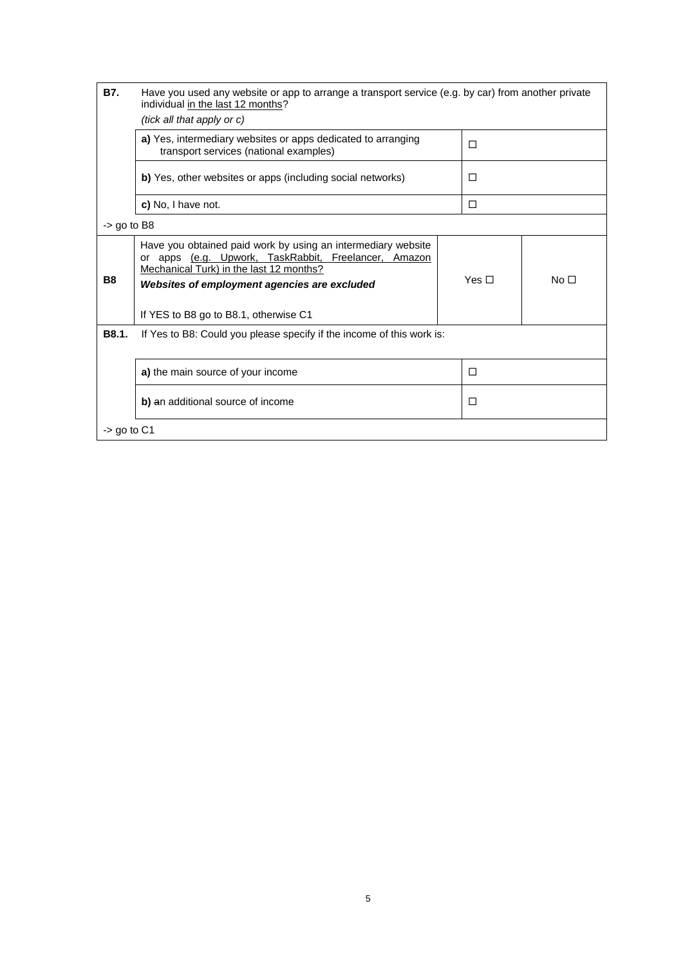| <b>B7.</b>     | Have you used any website or app to arrange a transport service (e.g. by car) from another private<br>individual in the last 12 months?<br>(tick all that apply or c)                                                                                       |            |                 |  |
|----------------|-------------------------------------------------------------------------------------------------------------------------------------------------------------------------------------------------------------------------------------------------------------|------------|-----------------|--|
|                | a) Yes, intermediary websites or apps dedicated to arranging<br>transport services (national examples)                                                                                                                                                      | П          |                 |  |
|                | b) Yes, other websites or apps (including social networks)                                                                                                                                                                                                  | П          |                 |  |
|                | c) No, I have not.                                                                                                                                                                                                                                          | П          |                 |  |
| $-$ go to B8   |                                                                                                                                                                                                                                                             |            |                 |  |
| B <sub>8</sub> | Have you obtained paid work by using an intermediary website<br>apps (e.g. Upwork, TaskRabbit, Freelancer, Amazon<br>or<br>Mechanical Turk) in the last 12 months?<br>Websites of employment agencies are excluded<br>If YES to B8 go to B8.1, otherwise C1 | Yes $\Box$ | No <sub>1</sub> |  |
| B8.1.          | If Yes to B8: Could you please specify if the income of this work is:                                                                                                                                                                                       |            |                 |  |
|                | a) the main source of your income                                                                                                                                                                                                                           | П          |                 |  |
|                | b) an additional source of income                                                                                                                                                                                                                           | П          |                 |  |
| $-$ qo to C1   |                                                                                                                                                                                                                                                             |            |                 |  |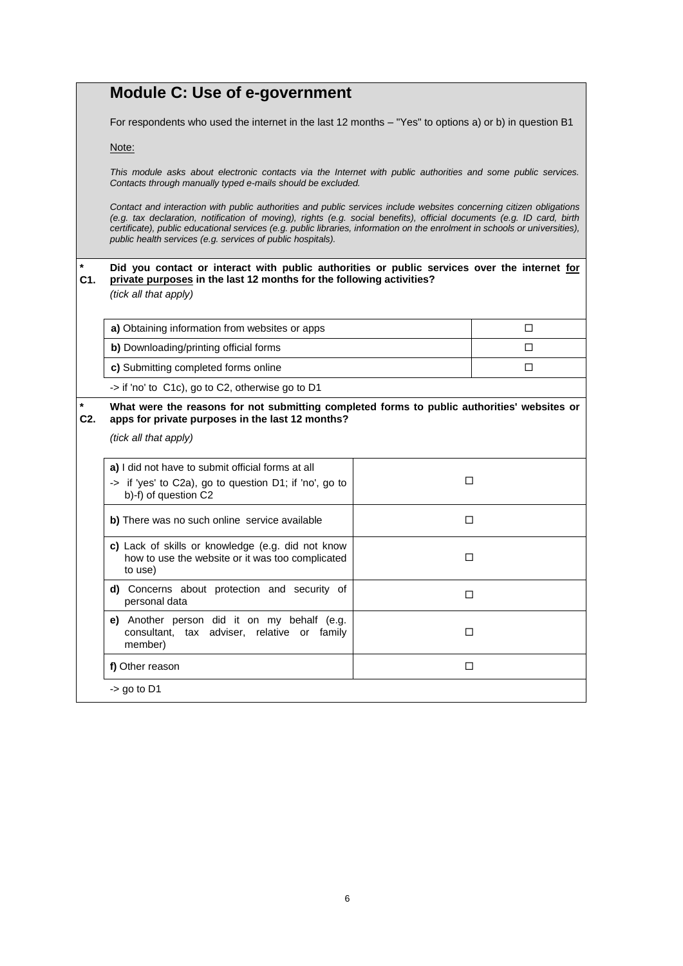|                                                               | <b>Module C: Use of e-government</b>                                                                                                                                                                                                                                                                                                                                                                                                                                                                                                                                                                                                                                                                                                           |        |   |  |  |
|---------------------------------------------------------------|------------------------------------------------------------------------------------------------------------------------------------------------------------------------------------------------------------------------------------------------------------------------------------------------------------------------------------------------------------------------------------------------------------------------------------------------------------------------------------------------------------------------------------------------------------------------------------------------------------------------------------------------------------------------------------------------------------------------------------------------|--------|---|--|--|
|                                                               | For respondents who used the internet in the last 12 months - "Yes" to options a) or b) in question B1<br>Note:<br>This module asks about electronic contacts via the Internet with public authorities and some public services.<br>Contacts through manually typed e-mails should be excluded.<br>Contact and interaction with public authorities and public services include websites concerning citizen obligations<br>(e.g. tax declaration, notification of moving), rights (e.g. social benefits), official documents (e.g. ID card, birth<br>certificate), public educational services (e.g. public libraries, information on the enrolment in schools or universities),<br>public health services (e.g. services of public hospitals). |        |   |  |  |
|                                                               |                                                                                                                                                                                                                                                                                                                                                                                                                                                                                                                                                                                                                                                                                                                                                |        |   |  |  |
|                                                               |                                                                                                                                                                                                                                                                                                                                                                                                                                                                                                                                                                                                                                                                                                                                                |        |   |  |  |
|                                                               |                                                                                                                                                                                                                                                                                                                                                                                                                                                                                                                                                                                                                                                                                                                                                |        |   |  |  |
| $\star$<br>C1.                                                | Did you contact or interact with public authorities or public services over the internet for<br>private purposes in the last 12 months for the following activities?<br>(tick all that apply)                                                                                                                                                                                                                                                                                                                                                                                                                                                                                                                                                  |        |   |  |  |
|                                                               | a) Obtaining information from websites or apps                                                                                                                                                                                                                                                                                                                                                                                                                                                                                                                                                                                                                                                                                                 |        | □ |  |  |
|                                                               | b) Downloading/printing official forms                                                                                                                                                                                                                                                                                                                                                                                                                                                                                                                                                                                                                                                                                                         |        | п |  |  |
|                                                               | c) Submitting completed forms online                                                                                                                                                                                                                                                                                                                                                                                                                                                                                                                                                                                                                                                                                                           |        | □ |  |  |
|                                                               | -> if 'no' to C1c), go to C2, otherwise go to D1                                                                                                                                                                                                                                                                                                                                                                                                                                                                                                                                                                                                                                                                                               |        |   |  |  |
| $\star$<br>$C2$ .                                             | What were the reasons for not submitting completed forms to public authorities' websites or<br>apps for private purposes in the last 12 months?                                                                                                                                                                                                                                                                                                                                                                                                                                                                                                                                                                                                |        |   |  |  |
|                                                               | (tick all that apply)                                                                                                                                                                                                                                                                                                                                                                                                                                                                                                                                                                                                                                                                                                                          |        |   |  |  |
|                                                               | a) I did not have to submit official forms at all                                                                                                                                                                                                                                                                                                                                                                                                                                                                                                                                                                                                                                                                                              |        |   |  |  |
|                                                               | -> if 'yes' to C2a), go to question D1; if 'no', go to<br>b)-f) of question C2                                                                                                                                                                                                                                                                                                                                                                                                                                                                                                                                                                                                                                                                 | □      |   |  |  |
|                                                               | b) There was no such online service available                                                                                                                                                                                                                                                                                                                                                                                                                                                                                                                                                                                                                                                                                                  |        | □ |  |  |
|                                                               | c) Lack of skills or knowledge (e.g. did not know<br>how to use the website or it was too complicated<br>to use)                                                                                                                                                                                                                                                                                                                                                                                                                                                                                                                                                                                                                               |        | □ |  |  |
| d) Concerns about protection and security of<br>personal data |                                                                                                                                                                                                                                                                                                                                                                                                                                                                                                                                                                                                                                                                                                                                                |        |   |  |  |
|                                                               | e) Another person did it on my behalf (e.g.<br>consultant, tax adviser, relative or family<br>member)                                                                                                                                                                                                                                                                                                                                                                                                                                                                                                                                                                                                                                          | □      |   |  |  |
|                                                               | f) Other reason                                                                                                                                                                                                                                                                                                                                                                                                                                                                                                                                                                                                                                                                                                                                | $\Box$ |   |  |  |
|                                                               | $-$ > go to D1                                                                                                                                                                                                                                                                                                                                                                                                                                                                                                                                                                                                                                                                                                                                 |        |   |  |  |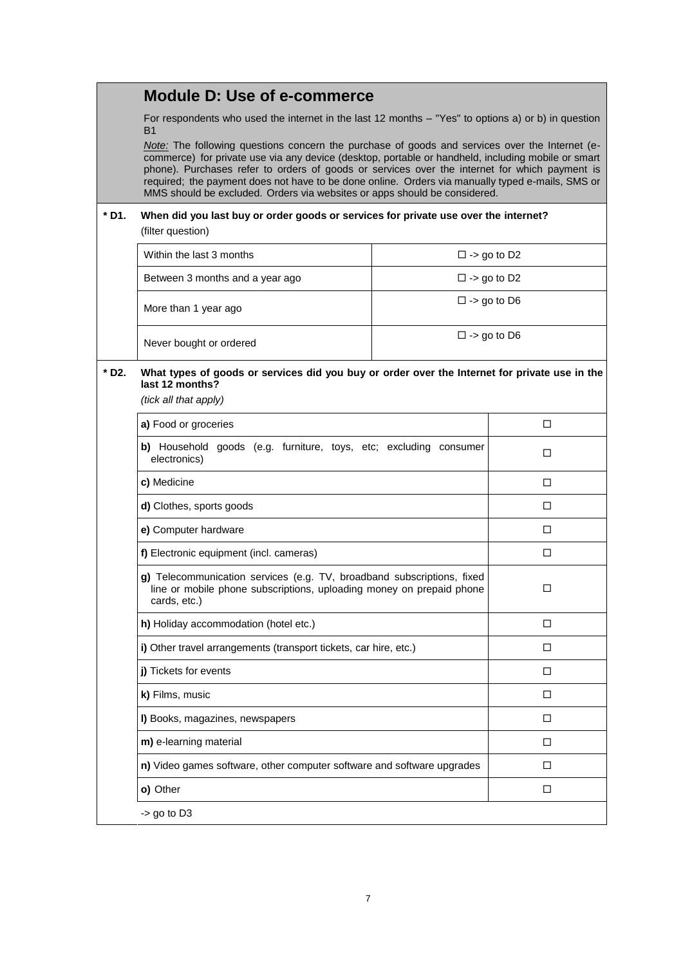### **Module D: Use of e-commerce**

For respondents who used the internet in the last 12 months – "Yes" to options a) or b) in question B1

*Note:* The following questions concern the purchase of goods and services over the Internet (ecommerce) for private use via any device (desktop, portable or handheld, including mobile or smart phone). Purchases refer to orders of goods or services over the internet for which payment is required; the payment does not have to be done online. Orders via manually typed e-mails, SMS or MMS should be excluded. Orders via websites or apps should be considered.

# **\* D1. When did you last buy or order goods or services for private use over the internet?**

(filter question)

| Within the last 3 months        | $\square$ -> go to D2 |
|---------------------------------|-----------------------|
| Between 3 months and a year ago | $\square$ -> go to D2 |
| More than 1 year ago            | $\square$ -> go to D6 |
| Never bought or ordered         | $\square$ -> go to D6 |

#### **\* D2. What types of goods or services did you buy or order over the Internet for private use in the last 12 months?** *(tick all that apply)*

| a) Food or groceries<br>П<br>b) Household goods (e.g. furniture, toys, etc; excluding consumer<br>п<br>electronics)<br>c) Medicine<br>п<br><b>d)</b> Clothes, sports goods<br>П<br>e) Computer hardware<br>П<br>f) Electronic equipment (incl. cameras)<br>П<br>g) Telecommunication services (e.g. TV, broadband subscriptions, fixed<br>line or mobile phone subscriptions, uploading money on prepaid phone<br>п<br>cards, etc.)<br>h) Holiday accommodation (hotel etc.)<br>П<br>i) Other travel arrangements (transport tickets, car hire, etc.)<br>п<br>j) Tickets for events<br>П<br>k) Films, music<br>п<br>I) Books, magazines, newspapers<br>п |  |
|----------------------------------------------------------------------------------------------------------------------------------------------------------------------------------------------------------------------------------------------------------------------------------------------------------------------------------------------------------------------------------------------------------------------------------------------------------------------------------------------------------------------------------------------------------------------------------------------------------------------------------------------------------|--|
|                                                                                                                                                                                                                                                                                                                                                                                                                                                                                                                                                                                                                                                          |  |
|                                                                                                                                                                                                                                                                                                                                                                                                                                                                                                                                                                                                                                                          |  |
|                                                                                                                                                                                                                                                                                                                                                                                                                                                                                                                                                                                                                                                          |  |
|                                                                                                                                                                                                                                                                                                                                                                                                                                                                                                                                                                                                                                                          |  |
|                                                                                                                                                                                                                                                                                                                                                                                                                                                                                                                                                                                                                                                          |  |
|                                                                                                                                                                                                                                                                                                                                                                                                                                                                                                                                                                                                                                                          |  |
|                                                                                                                                                                                                                                                                                                                                                                                                                                                                                                                                                                                                                                                          |  |
|                                                                                                                                                                                                                                                                                                                                                                                                                                                                                                                                                                                                                                                          |  |
|                                                                                                                                                                                                                                                                                                                                                                                                                                                                                                                                                                                                                                                          |  |
|                                                                                                                                                                                                                                                                                                                                                                                                                                                                                                                                                                                                                                                          |  |
|                                                                                                                                                                                                                                                                                                                                                                                                                                                                                                                                                                                                                                                          |  |
|                                                                                                                                                                                                                                                                                                                                                                                                                                                                                                                                                                                                                                                          |  |
| m) e-learning material<br>п                                                                                                                                                                                                                                                                                                                                                                                                                                                                                                                                                                                                                              |  |
| n) Video games software, other computer software and software upgrades<br>п                                                                                                                                                                                                                                                                                                                                                                                                                                                                                                                                                                              |  |
| o) Other<br>п                                                                                                                                                                                                                                                                                                                                                                                                                                                                                                                                                                                                                                            |  |
| $-$ go to D3                                                                                                                                                                                                                                                                                                                                                                                                                                                                                                                                                                                                                                             |  |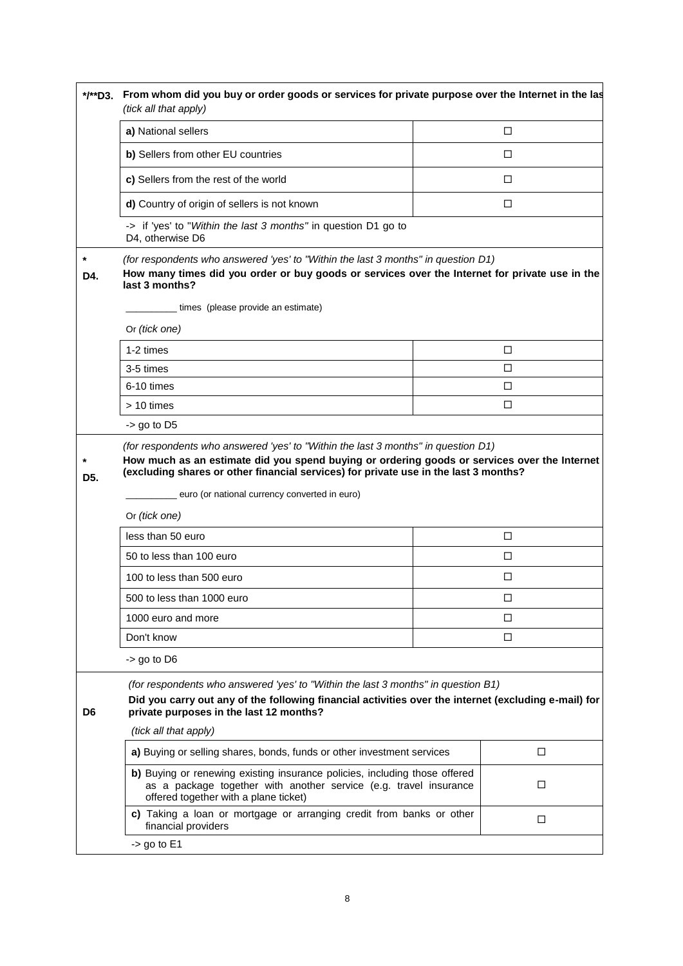|                | */**D3. From whom did you buy or order goods or services for private purpose over the Internet in the last<br>(tick all that apply)                                                                                                                                       |  |        |  |
|----------------|---------------------------------------------------------------------------------------------------------------------------------------------------------------------------------------------------------------------------------------------------------------------------|--|--------|--|
|                | a) National sellers                                                                                                                                                                                                                                                       |  | □      |  |
|                | b) Sellers from other EU countries                                                                                                                                                                                                                                        |  | □      |  |
|                | c) Sellers from the rest of the world                                                                                                                                                                                                                                     |  | □      |  |
|                | d) Country of origin of sellers is not known                                                                                                                                                                                                                              |  | □      |  |
|                | -> if 'yes' to "Within the last 3 months" in question D1 go to<br>D4, otherwise D6                                                                                                                                                                                        |  |        |  |
| $\star$<br>D4. | (for respondents who answered 'yes' to "Within the last 3 months" in question D1)<br>How many times did you order or buy goods or services over the Internet for private use in the<br>last 3 months?                                                                     |  |        |  |
|                | times (please provide an estimate)                                                                                                                                                                                                                                        |  |        |  |
|                | Or (tick one)                                                                                                                                                                                                                                                             |  |        |  |
|                | 1-2 times                                                                                                                                                                                                                                                                 |  | □      |  |
|                | 3-5 times                                                                                                                                                                                                                                                                 |  | □      |  |
|                | 6-10 times                                                                                                                                                                                                                                                                |  | □      |  |
|                | > 10 times                                                                                                                                                                                                                                                                |  | □      |  |
|                | $-$ > go to D5                                                                                                                                                                                                                                                            |  |        |  |
| $\star$<br>D5. | (for respondents who answered 'yes' to "Within the last 3 months" in question D1)<br>How much as an estimate did you spend buying or ordering goods or services over the Internet<br>(excluding shares or other financial services) for private use in the last 3 months? |  |        |  |
|                | euro (or national currency converted in euro)<br>Or (tick one)                                                                                                                                                                                                            |  |        |  |
|                | less than 50 euro                                                                                                                                                                                                                                                         |  | $\Box$ |  |
|                | 50 to less than 100 euro                                                                                                                                                                                                                                                  |  | □      |  |
|                | 100 to less than 500 euro                                                                                                                                                                                                                                                 |  | □      |  |
|                | 500 to less than 1000 euro                                                                                                                                                                                                                                                |  | $\Box$ |  |
|                | 1000 euro and more                                                                                                                                                                                                                                                        |  | □      |  |
|                | Don't know                                                                                                                                                                                                                                                                |  | □      |  |
|                | $-$ go to D6                                                                                                                                                                                                                                                              |  |        |  |
| D <sub>6</sub> | (for respondents who answered 'yes' to "Within the last 3 months" in question B1)<br>Did you carry out any of the following financial activities over the internet (excluding e-mail) for<br>private purposes in the last 12 months?                                      |  |        |  |
|                | (tick all that apply)                                                                                                                                                                                                                                                     |  |        |  |
|                | a) Buying or selling shares, bonds, funds or other investment services                                                                                                                                                                                                    |  | □      |  |
|                | b) Buying or renewing existing insurance policies, including those offered<br>as a package together with another service (e.g. travel insurance<br>offered together with a plane ticket)                                                                                  |  | □      |  |
|                | c) Taking a loan or mortgage or arranging credit from banks or other<br>financial providers                                                                                                                                                                               |  | $\Box$ |  |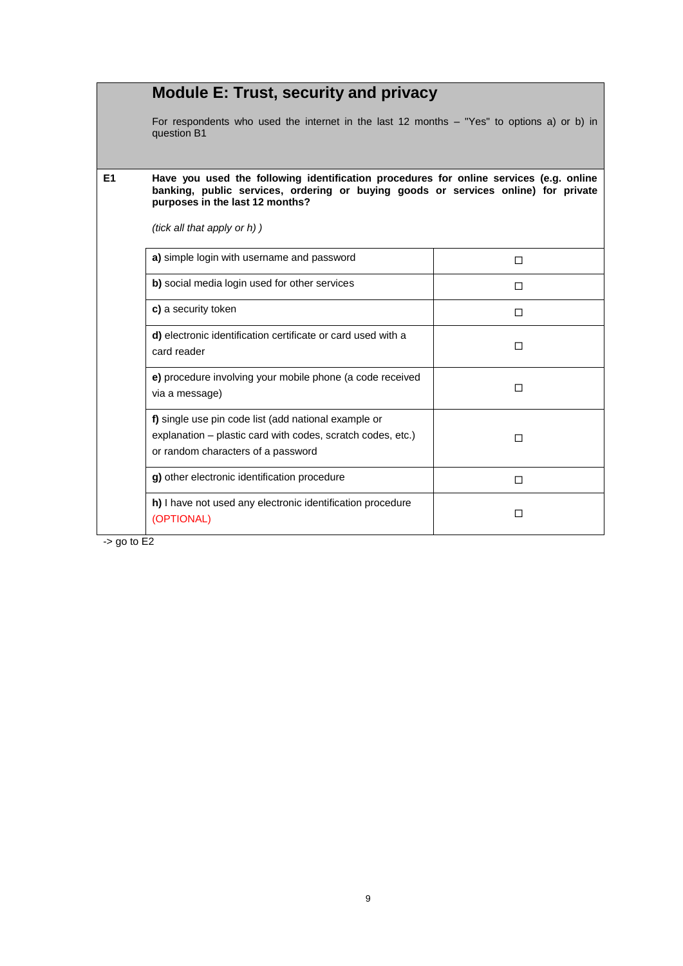|                | <b>Module E: Trust, security and privacy</b>                                                                                                                                                                    |        |  |  |  |
|----------------|-----------------------------------------------------------------------------------------------------------------------------------------------------------------------------------------------------------------|--------|--|--|--|
|                | For respondents who used the internet in the last 12 months - "Yes" to options a) or b) in<br>question B1                                                                                                       |        |  |  |  |
| E <sub>1</sub> | Have you used the following identification procedures for online services (e.g. online<br>banking, public services, ordering or buying goods or services online) for private<br>purposes in the last 12 months? |        |  |  |  |
|                | (tick all that apply or h) )                                                                                                                                                                                    |        |  |  |  |
|                | a) simple login with username and password                                                                                                                                                                      | □      |  |  |  |
|                | b) social media login used for other services                                                                                                                                                                   | п      |  |  |  |
|                | c) a security token                                                                                                                                                                                             | п      |  |  |  |
|                | d) electronic identification certificate or card used with a<br>card reader                                                                                                                                     | п      |  |  |  |
|                | e) procedure involving your mobile phone (a code received<br>via a message)                                                                                                                                     | п      |  |  |  |
|                | f) single use pin code list (add national example or<br>explanation – plastic card with codes, scratch codes, etc.)<br>or random characters of a password                                                       | п      |  |  |  |
|                | g) other electronic identification procedure                                                                                                                                                                    | $\Box$ |  |  |  |
|                | h) I have not used any electronic identification procedure<br>(OPTIONAL)                                                                                                                                        | п      |  |  |  |

 $-$  s go to E2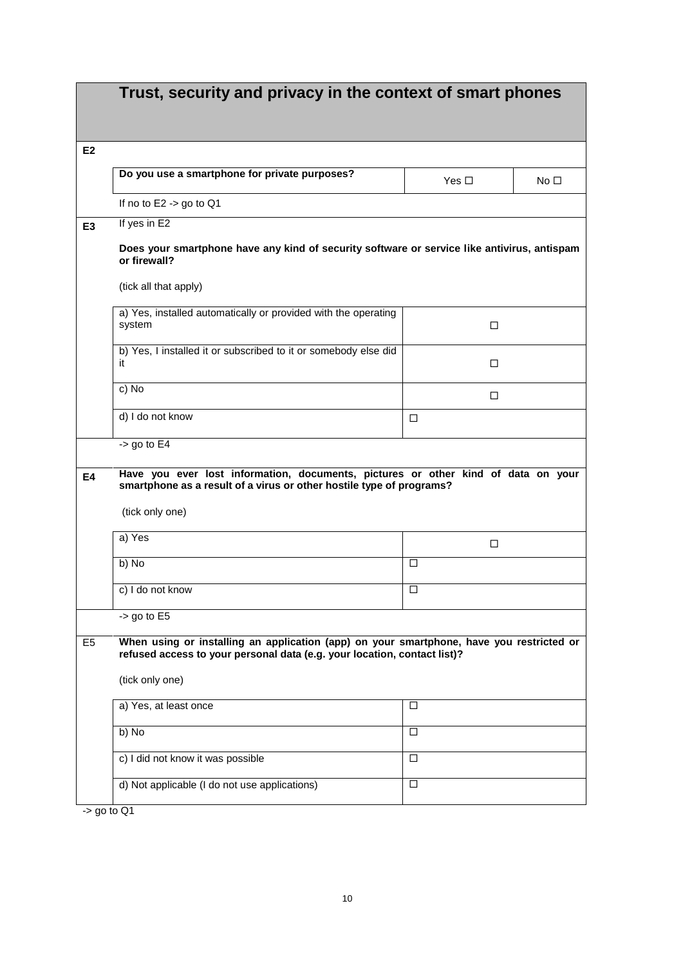|                | Trust, security and privacy in the context of smart phones                                                                                                           |            |           |
|----------------|----------------------------------------------------------------------------------------------------------------------------------------------------------------------|------------|-----------|
| E <sub>2</sub> |                                                                                                                                                                      |            |           |
|                | Do you use a smartphone for private purposes?                                                                                                                        | Yes $\Box$ | No $\Box$ |
|                | If no to $E2 \rightarrow go$ to Q1                                                                                                                                   |            |           |
| E <sub>3</sub> | If yes in E2                                                                                                                                                         |            |           |
|                | Does your smartphone have any kind of security software or service like antivirus, antispam<br>or firewall?                                                          |            |           |
|                | (tick all that apply)                                                                                                                                                |            |           |
|                | a) Yes, installed automatically or provided with the operating<br>system                                                                                             | □          |           |
|                | b) Yes, I installed it or subscribed to it or somebody else did<br>it                                                                                                | □          |           |
|                | c) No                                                                                                                                                                | □          |           |
|                | d) I do not know                                                                                                                                                     | □          |           |
|                | $-$ 90 to E4                                                                                                                                                         |            |           |
| E4             | Have you ever lost information, documents, pictures or other kind of data on your<br>smartphone as a result of a virus or other hostile type of programs?            |            |           |
|                | (tick only one)                                                                                                                                                      |            |           |
|                | a) Yes                                                                                                                                                               | □          |           |
|                | b) No                                                                                                                                                                | □          |           |
|                | c) I do not know                                                                                                                                                     | $\Box$     |           |
|                | $-$ go to $E5$                                                                                                                                                       |            |           |
| E <sub>5</sub> | When using or installing an application (app) on your smartphone, have you restricted or<br>refused access to your personal data (e.g. your location, contact list)? |            |           |
|                | (tick only one)                                                                                                                                                      |            |           |
|                | a) Yes, at least once                                                                                                                                                | □          |           |
|                | b) No                                                                                                                                                                | □          |           |
|                | c) I did not know it was possible                                                                                                                                    | □          |           |
|                | d) Not applicable (I do not use applications)                                                                                                                        | □          |           |

 $-$  > go to Q1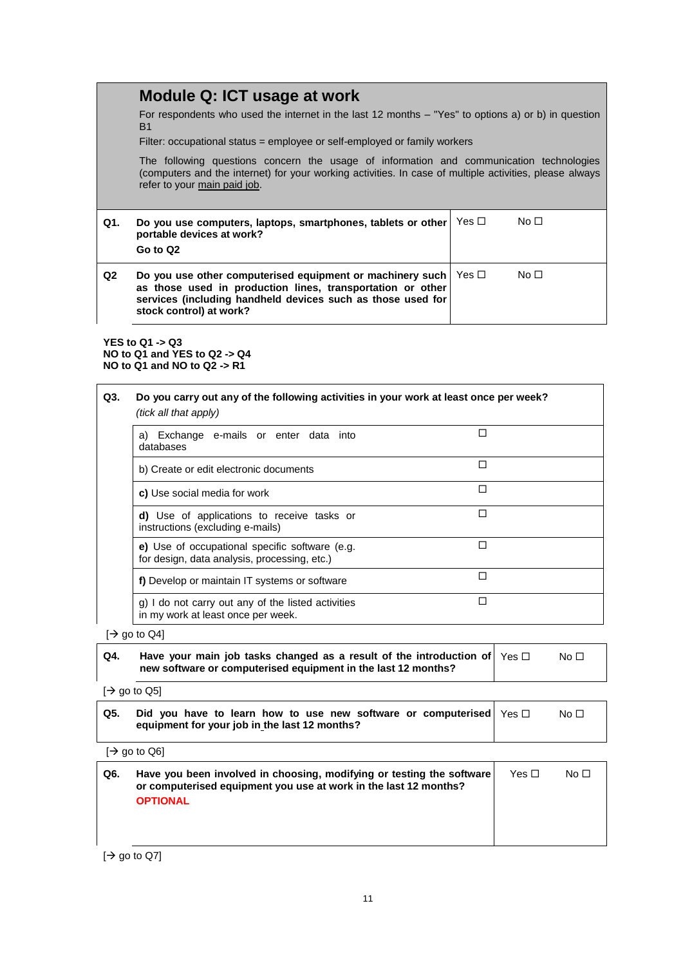### **Module Q: ICT usage at work**

For respondents who used the internet in the last 12 months – "Yes" to options a) or b) in question B1

Filter: occupational status = employee or self-employed or family workers

The following questions concern the usage of information and communication technologies (computers and the internet) for your working activities. In case of multiple activities, please always refer to your main paid job.

| Q1.            | Do you use computers, laptops, smartphones, tablets or other<br>portable devices at work?<br>Go to Q2                                                                                                                                | Yes □ | No <sub>1</sub> |
|----------------|--------------------------------------------------------------------------------------------------------------------------------------------------------------------------------------------------------------------------------------|-------|-----------------|
| Q <sub>2</sub> | Do you use other computerised equipment or machinery such $\vert$ Yes $\Box$<br>as those used in production lines, transportation or other<br>services (including handheld devices such as those used for<br>stock control) at work? |       | No $\Box$       |

**YES to Q1 -> Q3 NO to Q1 and YES to Q2 -> Q4 NO to Q1 and NO to Q2 -> R1**

| Q3. | Do you carry out any of the following activities in your work at least once per week?<br>(tick all that apply) |   |
|-----|----------------------------------------------------------------------------------------------------------------|---|
|     | a) Exchange e-mails or enter data into<br>databases                                                            | П |
|     | b) Create or edit electronic documents                                                                         | П |
|     | c) Use social media for work                                                                                   | П |
|     | d) Use of applications to receive tasks or<br>instructions (excluding e-mails)                                 | П |
|     | e) Use of occupational specific software (e.g.<br>for design, data analysis, processing, etc.)                 | П |
|     | f) Develop or maintain IT systems or software                                                                  | П |
|     | g) I do not carry out any of the listed activities<br>in my work at least once per week.                       | П |

 $[\rightarrow$  go to Q4]

| Q4. | Have your main job tasks changed as a result of the introduction of $ \vee$ es $\Box$<br>new software or computerised equipment in the last 12 months? | No <sub>1</sub> |  |
|-----|--------------------------------------------------------------------------------------------------------------------------------------------------------|-----------------|--|
|     |                                                                                                                                                        |                 |  |

 $[\rightarrow$  go to Q5]

| Q5. | Did you have to learn how to use new software or computerised $\forall$ es $\Box$ | No $\square$ |
|-----|-----------------------------------------------------------------------------------|--------------|
|     | equipment for your job in the last 12 months?                                     |              |

 $[\rightarrow$  go to Q6]

| Q6. | Have you been involved in choosing, modifying or testing the software<br>or computerised equipment you use at work in the last 12 months? | Yes $\Box$ | No $\Box$ |
|-----|-------------------------------------------------------------------------------------------------------------------------------------------|------------|-----------|
|     | <b>OPTIONAL</b>                                                                                                                           |            |           |
|     |                                                                                                                                           |            |           |

 $[\rightarrow$  go to Q7]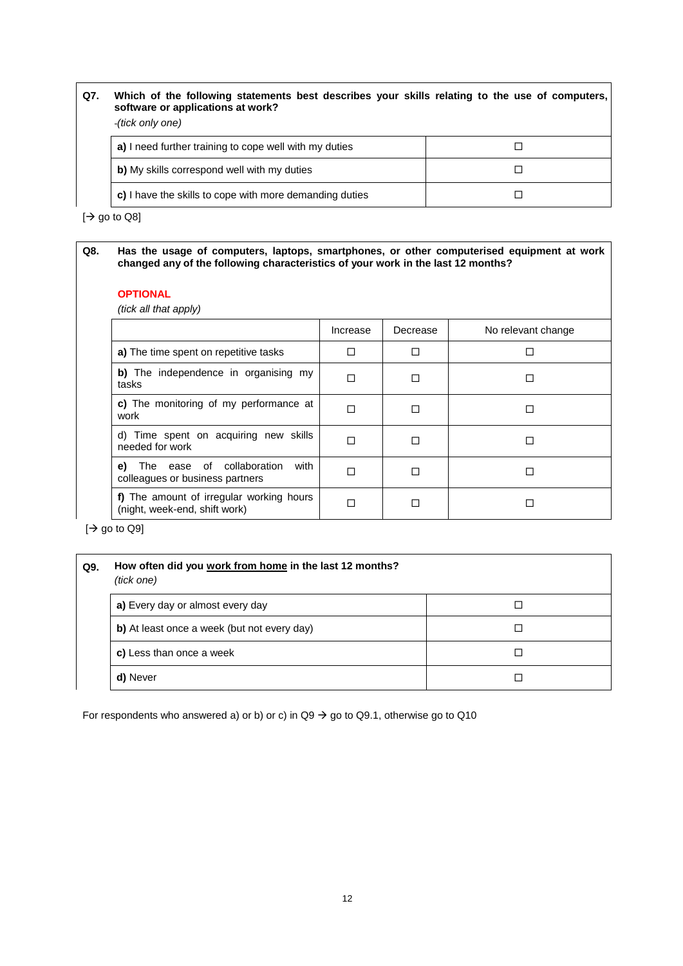| Q7. | Which of the following statements best describes your skills relating to the use of computers,<br>software or applications at work?<br>(tick only one) |  |
|-----|--------------------------------------------------------------------------------------------------------------------------------------------------------|--|
|     | a) I need further training to cope well with my duties                                                                                                 |  |
|     | b) My skills correspond well with my duties                                                                                                            |  |
|     | c) I have the skills to cope with more demanding duties                                                                                                |  |

 $[\rightarrow$  go to Q8]

#### **Q8. Has the usage of computers, laptops, smartphones, or other computerised equipment at work changed any of the following characteristics of your work in the last 12 months?**

#### **OPTIONAL**

*(tick all that apply)*

|                                                                            | Increase | Decrease | No relevant change |
|----------------------------------------------------------------------------|----------|----------|--------------------|
| a) The time spent on repetitive tasks                                      |          |          |                    |
| b) The independence in organising my<br>tasks                              | П        |          |                    |
| c) The monitoring of my performance at<br>work                             |          |          |                    |
| d) Time spent on acquiring new skills<br>needed for work                   |          |          |                    |
| The ease of collaboration<br>with<br>e)<br>colleagues or business partners |          |          |                    |
| f) The amount of irregular working hours<br>(night, week-end, shift work)  |          |          |                    |

 $[\rightarrow$  go to Q9]

| Q9. | How often did you work from home in the last 12 months?<br>(tick one) |  |
|-----|-----------------------------------------------------------------------|--|
|     | a) Every day or almost every day                                      |  |
|     | b) At least once a week (but not every day)                           |  |
|     | c) Less than once a week                                              |  |
|     | d) Never                                                              |  |

For respondents who answered a) or b) or c) in  $Q9 \rightarrow go$  to  $Q9.1$ , otherwise go to  $Q10$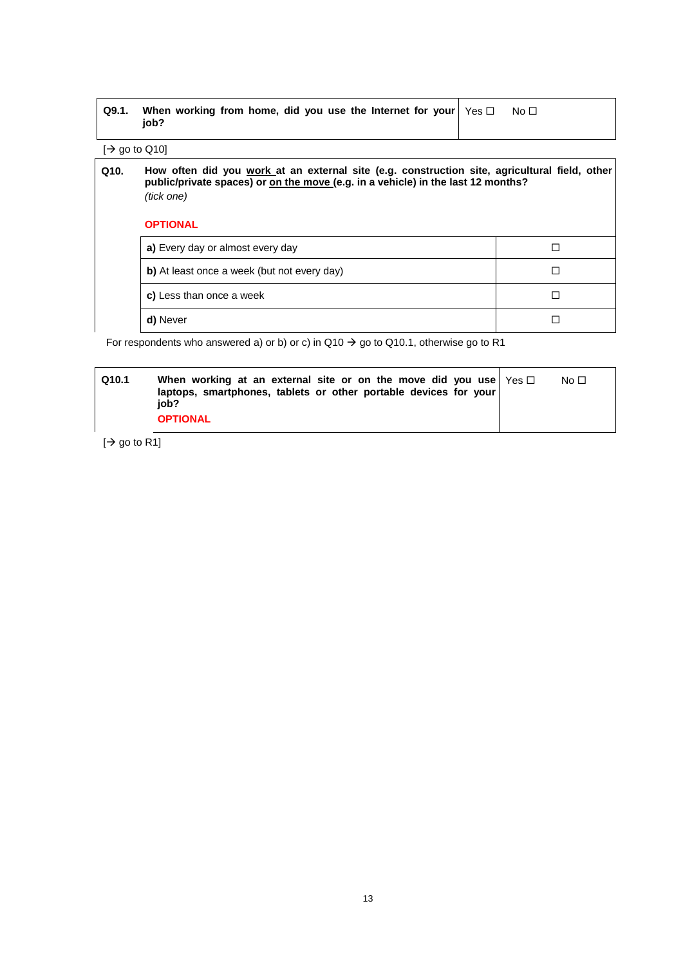| $\Box$ Q9.1. When working from home, did you use the Internet for your $\Diamond$ Yes $\Box$<br>iob? | No $\Box$ |
|------------------------------------------------------------------------------------------------------|-----------|
|                                                                                                      |           |

 $[\Rightarrow$  go to Q10]

| Q10. | How often did you work at an external site (e.g. construction site, agricultural field, other<br>public/private spaces) or on the move (e.g. in a vehicle) in the last 12 months?<br>(tick one) |  |
|------|-------------------------------------------------------------------------------------------------------------------------------------------------------------------------------------------------|--|
|      | <b>OPTIONAL</b>                                                                                                                                                                                 |  |

| a) Every day or almost every day            |  |
|---------------------------------------------|--|
| b) At least once a week (but not every day) |  |
| c) Less than once a week                    |  |
| d) Never                                    |  |

For respondents who answered a) or b) or c) in  $Q10 \rightarrow go$  to  $Q10.1$ , otherwise go to R1

| Q <sub>10.1</sub> | When working at an external site or on the move did you use $\gamma$ $\approx$ $\Box$<br>laptops, smartphones, tablets or other portable devices for your<br>iob? | No $\Box$ |
|-------------------|-------------------------------------------------------------------------------------------------------------------------------------------------------------------|-----------|
|                   | <b>OPTIONAL</b>                                                                                                                                                   |           |

 $|$  go to R1]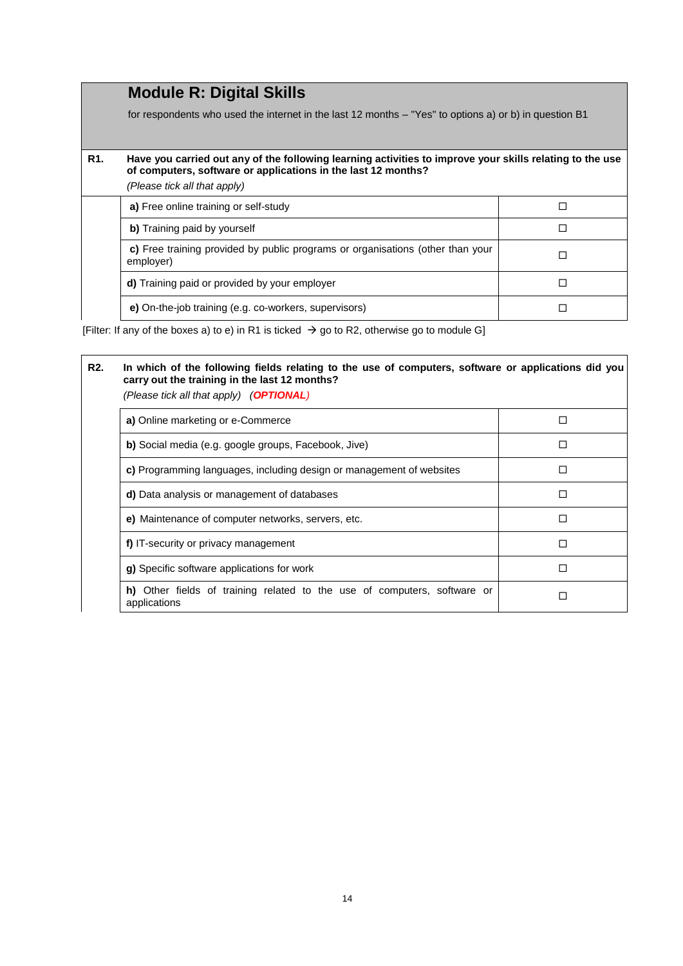### **Module R: Digital Skills**

for respondents who used the internet in the last 12 months – "Yes" to options a) or b) in question B1

#### **R1. Have you carried out any of the following learning activities to improve your skills relating to the use of computers, software or applications in the last 12 months?** *(Please tick all that apply)*

|  | a) Free online training or self-study                                                       |  |
|--|---------------------------------------------------------------------------------------------|--|
|  | b) Training paid by yourself                                                                |  |
|  | c) Free training provided by public programs or organisations (other than your<br>employer) |  |
|  | d) Training paid or provided by your employer                                               |  |
|  | e) On-the-job training (e.g. co-workers, supervisors)                                       |  |

[Filter: If any of the boxes a) to e) in R1 is ticked  $\rightarrow$  go to R2, otherwise go to module G]

# **R2. In which of the following fields relating to the use of computers, software or applications did you carry out the training in the last 12 months?**  *(Please tick all that apply) (OPTIONAL)* **a)** Online marketing or e-Commerce **a** and a set of a set of a set of a set of a set of a set of a set of a set of a set of a set of a set of a set of a set of a set of a set of a set of a set of a set of a set of a set **b)** Social media (e.g. google groups, Facebook, Jive) **c)** Programming languages, including design or management of websites **□ d)** Data analysis or management of databases  $\square$ **e)** Maintenance of computer networks, servers, etc. **f)** IT-security or privacy management **g)** Specific software applications for work  $\Box$ **h)** Other fields of training related to the use of computers, software or applications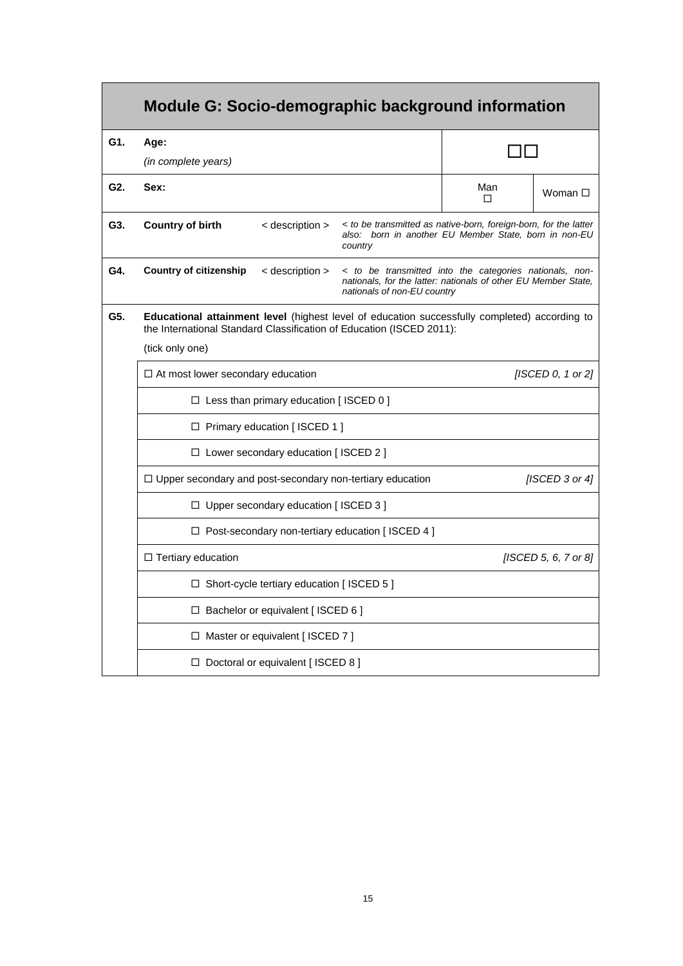|     | <b>Module G: Socio-demographic background information</b>                                                                                                                                             |          |                      |  |  |
|-----|-------------------------------------------------------------------------------------------------------------------------------------------------------------------------------------------------------|----------|----------------------|--|--|
| G1. | Age:                                                                                                                                                                                                  |          |                      |  |  |
|     | (in complete years)                                                                                                                                                                                   |          |                      |  |  |
| G2. | Sex:                                                                                                                                                                                                  | Man<br>П | Woman $\square$      |  |  |
| G3. | <b>Country of birth</b><br>< description ><br>< to be transmitted as native-born, foreign-born, for the latter<br>also: born in another EU Member State, born in non-EU<br>country                    |          |                      |  |  |
| G4. | < to be transmitted into the categories nationals, non-<br>Country of citizenship<br>< description ><br>nationals, for the latter: nationals of other EU Member State,<br>nationals of non-EU country |          |                      |  |  |
| G5. | Educational attainment level (highest level of education successfully completed) according to<br>the International Standard Classification of Education (ISCED 2011):                                 |          |                      |  |  |
|     | (tick only one)                                                                                                                                                                                       |          |                      |  |  |
|     | [ISCED 0, 1 or 2]<br>$\Box$ At most lower secondary education                                                                                                                                         |          |                      |  |  |
|     | $\Box$ Less than primary education [ISCED 0]                                                                                                                                                          |          |                      |  |  |
|     | □ Primary education [ISCED 1]                                                                                                                                                                         |          |                      |  |  |
|     | $\Box$ Lower secondary education [ISCED 2]                                                                                                                                                            |          |                      |  |  |
|     | [ISCED 3 or 4]<br>$\Box$ Upper secondary and post-secondary non-tertiary education                                                                                                                    |          |                      |  |  |
|     | $\Box$ Upper secondary education [ISCED 3]                                                                                                                                                            |          |                      |  |  |
|     | $\Box$ Post-secondary non-tertiary education [ISCED 4]                                                                                                                                                |          |                      |  |  |
|     | $\Box$ Tertiary education                                                                                                                                                                             |          | [ISCED 5, 6, 7 or 8] |  |  |
|     | $\Box$ Short-cycle tertiary education [ISCED 5]                                                                                                                                                       |          |                      |  |  |
|     | $\Box$ Bachelor or equivalent [ISCED 6]                                                                                                                                                               |          |                      |  |  |
|     | □ Master or equivalent [ISCED 7]                                                                                                                                                                      |          |                      |  |  |
|     | $\Box$ Doctoral or equivalent [ ISCED 8 ]                                                                                                                                                             |          |                      |  |  |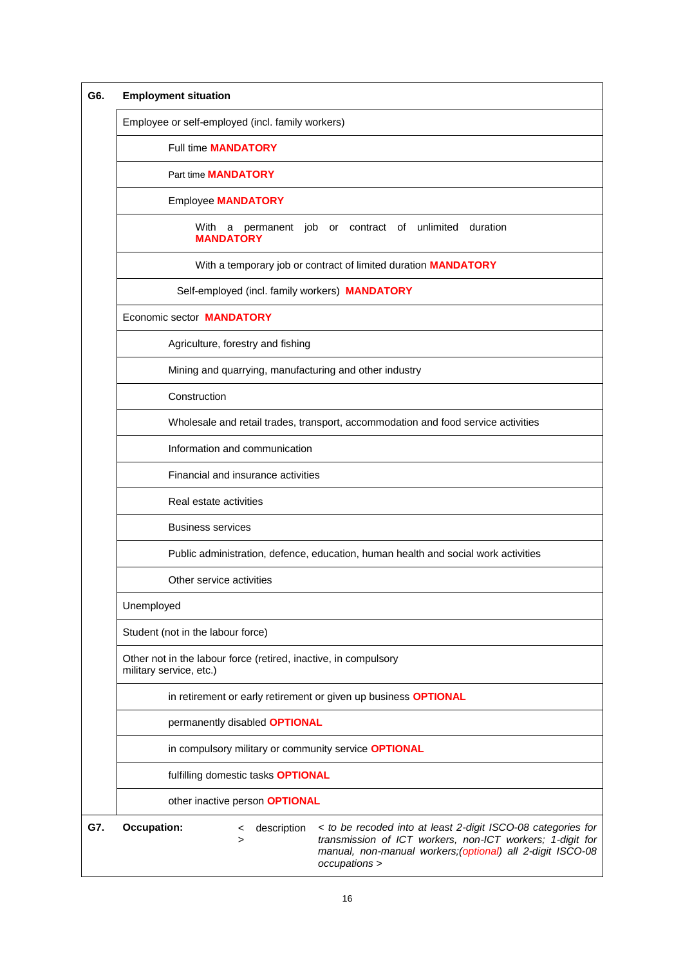| G6. | <b>Employment situation</b>                                                                                                                                                                                                                                       |  |  |  |
|-----|-------------------------------------------------------------------------------------------------------------------------------------------------------------------------------------------------------------------------------------------------------------------|--|--|--|
|     | Employee or self-employed (incl. family workers)                                                                                                                                                                                                                  |  |  |  |
|     | <b>Full time MANDATORY</b>                                                                                                                                                                                                                                        |  |  |  |
|     | Part time <b>MANDATORY</b>                                                                                                                                                                                                                                        |  |  |  |
|     | <b>Employee MANDATORY</b>                                                                                                                                                                                                                                         |  |  |  |
|     | With a permanent job or contract of unlimited duration<br><b>MANDATORY</b>                                                                                                                                                                                        |  |  |  |
|     | With a temporary job or contract of limited duration MANDATORY                                                                                                                                                                                                    |  |  |  |
|     | Self-employed (incl. family workers) MANDATORY                                                                                                                                                                                                                    |  |  |  |
|     | Economic sector <b>MANDATORY</b>                                                                                                                                                                                                                                  |  |  |  |
|     | Agriculture, forestry and fishing                                                                                                                                                                                                                                 |  |  |  |
|     | Mining and quarrying, manufacturing and other industry                                                                                                                                                                                                            |  |  |  |
|     | Construction                                                                                                                                                                                                                                                      |  |  |  |
|     | Wholesale and retail trades, transport, accommodation and food service activities                                                                                                                                                                                 |  |  |  |
|     | Information and communication                                                                                                                                                                                                                                     |  |  |  |
|     | Financial and insurance activities                                                                                                                                                                                                                                |  |  |  |
|     | Real estate activities                                                                                                                                                                                                                                            |  |  |  |
|     | <b>Business services</b>                                                                                                                                                                                                                                          |  |  |  |
|     | Public administration, defence, education, human health and social work activities                                                                                                                                                                                |  |  |  |
|     | Other service activities                                                                                                                                                                                                                                          |  |  |  |
|     | Unemployed                                                                                                                                                                                                                                                        |  |  |  |
|     | Student (not in the labour force)                                                                                                                                                                                                                                 |  |  |  |
|     | Other not in the labour force (retired, inactive, in compulsory<br>military service, etc.)                                                                                                                                                                        |  |  |  |
|     | in retirement or early retirement or given up business OPTIONAL                                                                                                                                                                                                   |  |  |  |
|     | permanently disabled <b>OPTIONAL</b>                                                                                                                                                                                                                              |  |  |  |
|     | in compulsory military or community service OPTIONAL                                                                                                                                                                                                              |  |  |  |
|     | fulfilling domestic tasks OPTIONAL                                                                                                                                                                                                                                |  |  |  |
|     | other inactive person OPTIONAL                                                                                                                                                                                                                                    |  |  |  |
| G7. | <b>Occupation:</b><br>description<br>< to be recoded into at least 2-digit ISCO-08 categories for<br>$\,<\,$<br>transmission of ICT workers, non-ICT workers; 1-digit for<br>$\geq$<br>manual, non-manual workers;(optional) all 2-digit ISCO-08<br>occupations > |  |  |  |